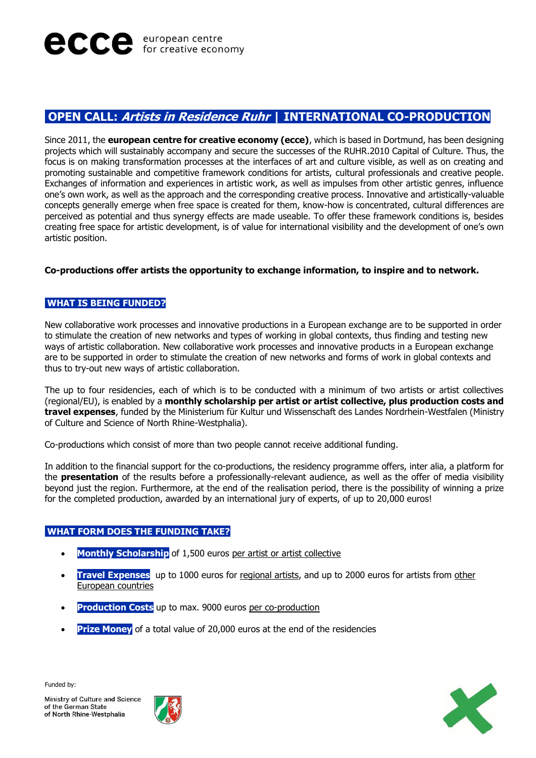# **OPEN CALL: Artists in Residence Ruhr | INTERNATIONAL CO-PRODUCTION**

Since 2011, the **european centre for creative economy (ecce)**, which is based in Dortmund, has been designing projects which will sustainably accompany and secure the successes of the RUHR.2010 Capital of Culture. Thus, the focus is on making transformation processes at the interfaces of art and culture visible, as well as on creating and promoting sustainable and competitive framework conditions for artists, cultural professionals and creative people. Exchanges of information and experiences in artistic work, as well as impulses from other artistic genres, influence one's own work, as well as the approach and the corresponding creative process. Innovative and artistically-valuable concepts generally emerge when free space is created for them, know-how is concentrated, cultural differences are perceived as potential and thus synergy effects are made useable. To offer these framework conditions is, besides creating free space for artistic development, is of value for international visibility and the development of one's own artistic position.

### **Co-productions offer artists the opportunity to exchange information, to inspire and to network.**

# **WHAT IS BEING FUNDED?**

New collaborative work processes and innovative productions in a European exchange are to be supported in order to stimulate the creation of new networks and types of working in global contexts, thus finding and testing new ways of artistic collaboration. New collaborative work processes and innovative products in a European exchange are to be supported in order to stimulate the creation of new networks and forms of work in global contexts and thus to try-out new ways of artistic collaboration.

The up to four residencies, each of which is to be conducted with a minimum of two artists or artist collectives (regional/EU), is enabled by a **monthly scholarship per artist or artist collective, plus production costs and travel expenses**, funded by the Ministerium für Kultur und Wissenschaft des Landes Nordrhein-Westfalen (Ministry of Culture and Science of North Rhine-Westphalia).

Co-productions which consist of more than two people cannot receive additional funding.

In addition to the financial support for the co-productions, the residency programme offers, inter alia, a platform for the **presentation** of the results before a professionally-relevant audience, as well as the offer of media visibility beyond just the region. Furthermore, at the end of the realisation period, there is the possibility of winning a prize for the completed production, awarded by an international jury of experts, of up to 20,000 euros!

# **WHAT FORM DOES THE FUNDING TAKE?**

- **Monthly Scholarship** of 1,500 euros per artist or artist collective
- **Travel Expenses** up to 1000 euros for regional artists, and up to 2000 euros for artists from other European countries
- **Production Costs** up to max. 9000 euros per co-production
- **Prize Money** of a total value of 20,000 euros at the end of the residencies

Funded by:



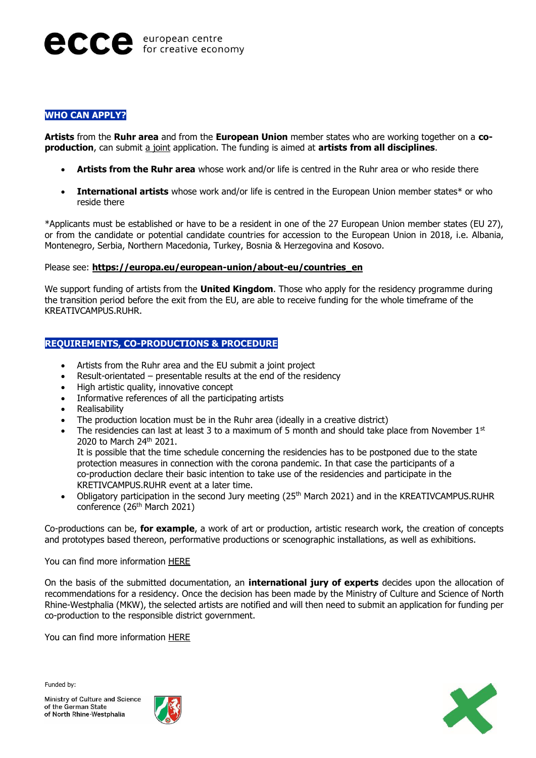### **WHO CAN APPLY?**

**Artists** from the **Ruhr area** and from the **European Union** member states who are working together on a **coproduction**, can submit a joint application. The funding is aimed at **artists from all disciplines**.

- **Artists from the Ruhr area** whose work and/or life is centred in the Ruhr area or who reside there
- **International artists** whose work and/or life is centred in the European Union member states\* or who reside there

\*Applicants must be established or have to be a resident in one of the 27 European Union member states (EU 27), or from the candidate or potential candidate countries for accession to the European Union in 2018, i.e. Albania, Montenegro, Serbia, Northern Macedonia, Turkey, Bosnia & Herzegovina and Kosovo.

#### Please see: **[https://europa.eu/european-union/about-eu/countries\\_en](https://europa.eu/european-union/about-eu/countries_en)**

We support funding of artists from the **United Kingdom**. Those who apply for the residency programme during the transition period before the exit from the EU, are able to receive funding for the whole timeframe of the KREATIVCAMPUS.RUHR.

## **REQUIREMENTS, CO-PRODUCTIONS & PROCEDURE**

- Artists from the Ruhr area and the EU submit a joint project
- Result-orientated  $-$  presentable results at the end of the residency
- High artistic quality, innovative concept
- Informative references of all the participating artists
- Realisability
- The production location must be in the Ruhr area (ideally in a creative district)
- The residencies can last at least 3 to a maximum of 5 month and should take place from November  $1<sup>st</sup>$ 2020 to March 24th 2021.

It is possible that the time schedule concerning the residencies has to be postponed due to the state protection measures in connection with the corona pandemic. In that case the participants of a co-production declare their basic intention to take use of the residencies and participate in the KRETIVCAMPUS.RUHR event at a later time.

• Obligatory participation in the second Jury meeting (25<sup>th</sup> March 2021) and in the KREATIVCAMPUS.RUHR conference (26<sup>th</sup> March 2021)

Co-productions can be, **for example**, a work of art or production, artistic research work, the creation of concepts and prototypes based thereon, performative productions or scenographic installations, as well as exhibitions.

### You can find more information [HERE](https://www.e-c-c-e.de/fileadmin/dokumente/EU/Kreativcampus_2020/KREATIVCAMPUS.RUHR_Funding_Information_Residencies_EN.pdf)

On the basis of the submitted documentation, an **international jury of experts** decides upon the allocation of recommendations for a residency. Once the decision has been made by the Ministry of Culture and Science of North Rhine-Westphalia (MKW), the selected artists are notified and will then need to submit an application for funding per co-production to the responsible district government.

You can find more information [HERE](https://www.e-c-c-e.de/fileadmin/dokumente/EU/Kreativcampus_2020/KREATIVCAMPUS.RUHR_Conditions_and_Procedure_Residencies_EN.pdf)

Funded by: